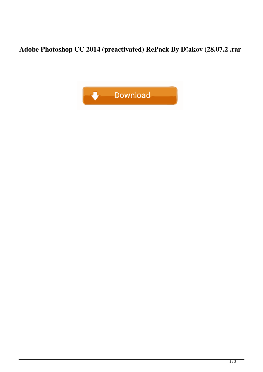Adobe Photoshop CC 2014 (preactivated) RePack By D!akov (28.07.2 .rar

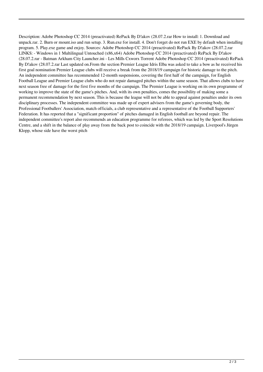Description: Adobe Photoshop CC 2014 (preactivated) RePack By D!akov (28.07.2.rar How to install: 1. Download and unpack.rar. 2. Burn or mount.iso and run setup. 3. Run.exe for install. 4. Don't forget do not run EXE by default when installing program. 5. Play.exe game and enjoy. Sources: Adobe Photoshop CC 2014 (preactivated) RePack By D!akov (28.07.2.rar LINKS: - Windows in 1 Multilingual Untouched (x86,x64) Adobe Photoshop CC 2014 (preactivated) RePack By D!akov (28.07.2.rar - Batman Arkham City Launcher.ini - Les Mills Cxworx Torrent Adobe Photoshop CC 2014 (preactivated) RePack By D!akov (28.07.2.rar Last updated on.From the section Premier League Idris Elba was asked to take a bow as he received his first goal nomination Premier League clubs will receive a break from the 2018/19 campaign for historic damage to the pitch. An independent committee has recommended 12-month suspensions, covering the first half of the campaign, for English Football League and Premier League clubs who do not repair damaged pitches within the same season. That allows clubs to have next season free of damage for the first five months of the campaign. The Premier League is working on its own programme of working to improve the state of the game's pitches. And, with its own penalties, comes the possibility of making some a permanent recommendation by next season. This is because the league will not be able to appeal against penalties under its own disciplinary processes. The independent committee was made up of expert advisers from the game's governing body, the Professional Footballers' Association, match officials, a club representative and a representative of the Football Supporters' Federation. It has reported that a "significant proportion" of pitches damaged in English football are beyond repair. The independent committee's report also recommends an education programme for referees, which was led by the Sport Resolutions Centre, and a shift in the balance of play away from the back post to coincide with the 2018/19 campaign. Liverpool's Jürgen Klopp, whose side have the worst pitch